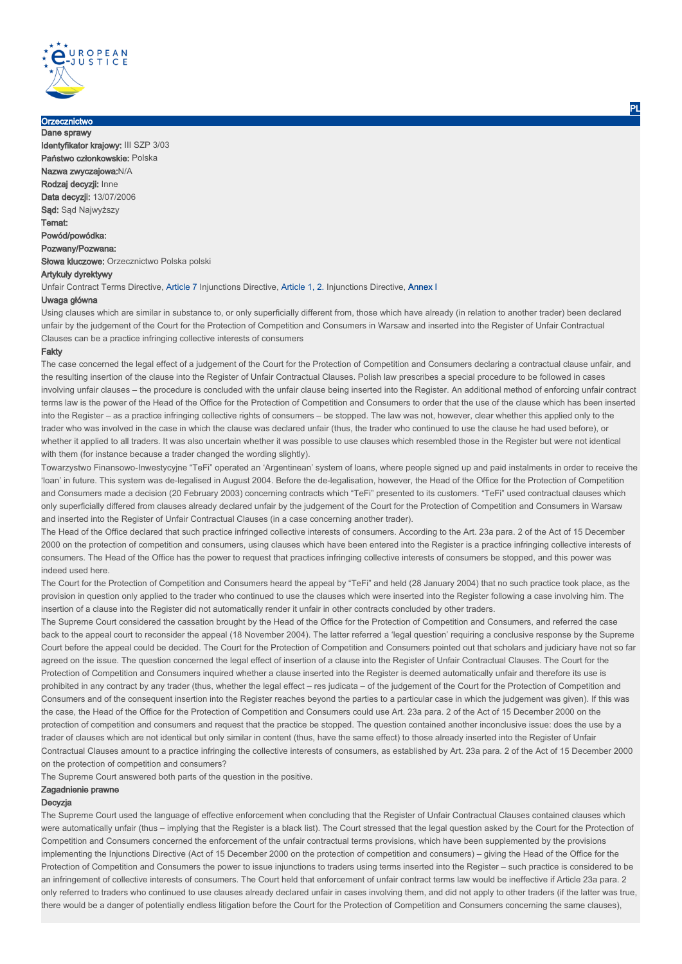

#### **Orzecznictwo** Dane sprawy

Identyfikator krajowy: III SZP 3/03 Państwo członkowskie: Polska Nazwa zwyczajowa:N/A Rodzaj decyzji: Inne Data decyzii: 13/07/2006 Sąd: Sąd Najwyższy Temat: Powód/powódka: Pozwany/Pozwana: Słowa kluczowe: Orzecznictwo Polska polski Artykuły dyrektywy

Unfair Contract Terms Directive, Article 7 Injunctions Directive, Article 1, 2. Injunctions Directive, Annex I

# Uwaga główna

Using clauses which are similar in substance to, or only superficially different from, those which have already (in relation to another trader) been declared unfair by the judgement of the Court for the Protection of Competition and Consumers in Warsaw and inserted into the Register of Unfair Contractual Clauses can be a practice infringing collective interests of consumers

### Fakty

The case concerned the legal effect of a judgement of the Court for the Protection of Competition and Consumers declaring a contractual clause unfair, and the resulting insertion of the clause into the Register of Unfair Contractual Clauses. Polish law prescribes a special procedure to be followed in cases involving unfair clauses – the procedure is concluded with the unfair clause being inserted into the Register. An additional method of enforcing unfair contract terms law is the power of the Head of the Office for the Protection of Competition and Consumers to order that the use of the clause which has been inserted into the Register – as a practice infringing collective rights of consumers – be stopped. The law was not, however, clear whether this applied only to the trader who was involved in the case in which the clause was declared unfair (thus, the trader who continued to use the clause he had used before), or whether it applied to all traders. It was also uncertain whether it was possible to use clauses which resembled those in the Register but were not identical with them (for instance because a trader changed the wording slightly).

Towarzystwo Finansowo-Inwestycyjne "TeFi" operated an 'Argentinean' system of loans, where people signed up and paid instalments in order to receive the 'loan' in future. This system was de-legalised in August 2004. Before the de-legalisation, however, the Head of the Office for the Protection of Competition and Consumers made a decision (20 February 2003) concerning contracts which "TeFi" presented to its customers. "TeFi" used contractual clauses which only superficially differed from clauses already declared unfair by the judgement of the Court for the Protection of Competition and Consumers in Warsaw and inserted into the Register of Unfair Contractual Clauses (in a case concerning another trader).

The Head of the Office declared that such practice infringed collective interests of consumers. According to the Art. 23a para. 2 of the Act of 15 December 2000 on the protection of competition and consumers, using clauses which have been entered into the Register is a practice infringing collective interests of consumers. The Head of the Office has the power to request that practices infringing collective interests of consumers be stopped, and this power was indeed used here.

The Court for the Protection of Competition and Consumers heard the appeal by "TeFi" and held (28 January 2004) that no such practice took place, as the provision in question only applied to the trader who continued to use the clauses which were inserted into the Register following a case involving him. The insertion of a clause into the Register did not automatically render it unfair in other contracts concluded by other traders.

The Supreme Court considered the cassation brought by the Head of the Office for the Protection of Competition and Consumers, and referred the case back to the appeal court to reconsider the appeal (18 November 2004). The latter referred a 'legal question' requiring a conclusive response by the Supreme Court before the appeal could be decided. The Court for the Protection of Competition and Consumers pointed out that scholars and judiciary have not so far agreed on the issue. The question concerned the legal effect of insertion of a clause into the Register of Unfair Contractual Clauses. The Court for the Protection of Competition and Consumers inquired whether a clause inserted into the Register is deemed automatically unfair and therefore its use is prohibited in any contract by any trader (thus, whether the legal effect – res judicata – of the judgement of the Court for the Protection of Competition and Consumers and of the consequent insertion into the Register reaches beyond the parties to a particular case in which the judgement was given). If this was the case, the Head of the Office for the Protection of Competition and Consumers could use Art. 23a para. 2 of the Act of 15 December 2000 on the protection of competition and consumers and request that the practice be stopped. The question contained another inconclusive issue: does the use by a trader of clauses which are not identical but only similar in content (thus, have the same effect) to those already inserted into the Register of Unfair Contractual Clauses amount to a practice infringing the collective interests of consumers, as established by Art. 23a para. 2 of the Act of 15 December 2000 on the protection of competition and consumers?

The Supreme Court answered both parts of the question in the positive.

### Zagadnienie prawne

## Decyzja

The Supreme Court used the language of effective enforcement when concluding that the Register of Unfair Contractual Clauses contained clauses which were automatically unfair (thus – implying that the Register is a black list). The Court stressed that the legal question asked by the Court for the Protection of Competition and Consumers concerned the enforcement of the unfair contractual terms provisions, which have been supplemented by the provisions implementing the Injunctions Directive (Act of 15 December 2000 on the protection of competition and consumers) – giving the Head of the Office for the Protection of Competition and Consumers the power to issue injunctions to traders using terms inserted into the Register – such practice is considered to be an infringement of collective interests of consumers. The Court held that enforcement of unfair contract terms law would be ineffective if Article 23a para. 2 only referred to traders who continued to use clauses already declared unfair in cases involving them, and did not apply to other traders (if the latter was true, there would be a danger of potentially endless litigation before the Court for the Protection of Competition and Consumers concerning the same clauses),

PL